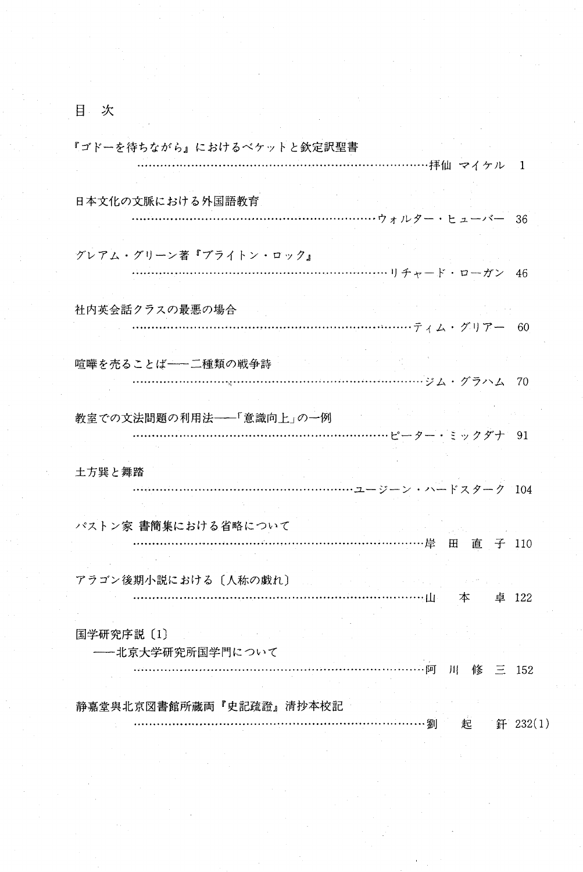目 次

| 『ゴドーを待ちながら』におけるベケットと欽定訳聖書                      |                  |                                     |  |
|------------------------------------------------|------------------|-------------------------------------|--|
|                                                | …………………拝仙 マイケル 1 |                                     |  |
| 日本文化の文脈における外国語教育<br>…………………ウォルター・ヒューバー 36      |                  |                                     |  |
|                                                |                  |                                     |  |
| グレアム・グリーン著『ブライトン・ロック』                          |                  |                                     |  |
|                                                |                  |                                     |  |
| 社内英会話クラスの最悪の場合                                 |                  |                                     |  |
|                                                |                  |                                     |  |
| 暗曄を売ることば――二種類の戦争詩                              |                  |                                     |  |
|                                                |                  |                                     |  |
| 教室での文法問題の利用法–––「意識向上」の一例<br>……………ピーター・ミックダナ 91 |                  |                                     |  |
| 土方巽と舞踏                                         |                  |                                     |  |
|                                                |                  |                                     |  |
| パストン家 書簡集における省略について                            |                  |                                     |  |
|                                                | ……………岸田直子 110    |                                     |  |
| アラゴン後期小説における〔人称の戯れ〕                            |                  | e a componente de la componente del |  |
|                                                | …………山  本  卓 122  |                                     |  |
| 国学研究序説〔1〕<br>-- 北京大学研究所国学門について                 |                  |                                     |  |
|                                                | ………阿川修三152       |                                     |  |
| 静嘉堂與北京図書館所蔵両『史記疏證』清抄本校記                        |                  |                                     |  |
|                                                | ………… 劉           | 起 釺 232(1)                          |  |